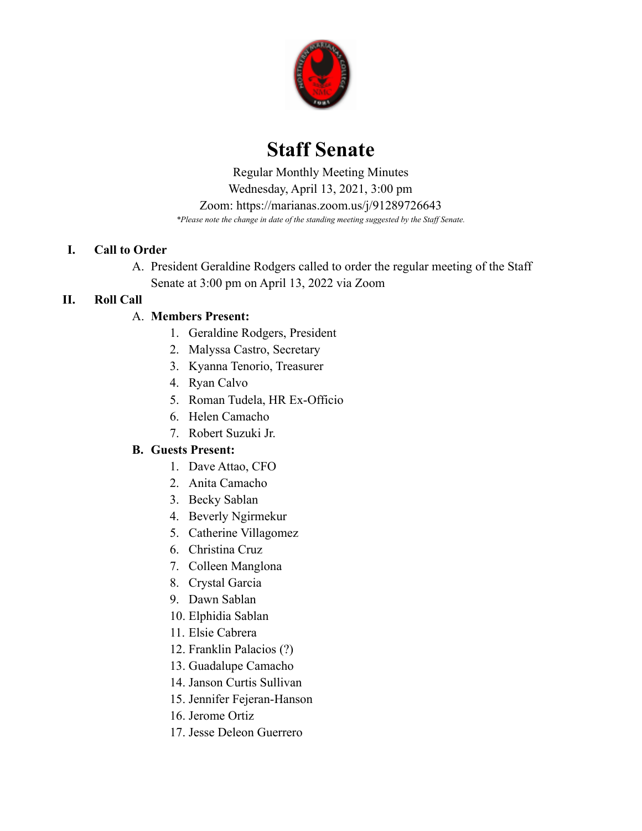

# **Staff Senate**

 *\*Please note the change in date of the standing meeting suggested by the Staff Senate.* Regular Monthly Meeting Minutes Wednesday, April 13, 2021, 3:00 pm Zoom: <https://marianas.zoom.us/j/91289726643>

## **I. Call to Order**

A. President Geraldine Rodgers called to order the regular meeting of the Staff Senate at 3:00 pm on April 13, 2022 via Zoom

# **II. Roll Call**

# A. **Members Present:**

- 1. Geraldine Rodgers, President
- 2. Malyssa Castro, Secretary
- 3. Kyanna Tenorio, Treasurer
- 4. Ryan Calvo
- 5. Roman Tudela, HR Ex-Officio
- 6. Helen Camacho
- 7. Robert Suzuki Jr.

# **B. Guests Present:**

- 1. Dave Attao, CFO
- 2. Anita Camacho
- 3. Becky Sablan
- 4. Beverly Ngirmekur
- 5. Catherine Villagomez
- 6. Christina Cruz
- 7. Colleen Manglona
- 8. Crystal Garcia
- 9. Dawn Sablan
- 10. Elphidia Sablan
- 11. Elsie Cabrera
- 12. Franklin Palacios (?)
- 13. Guadalupe Camacho
- 14. Janson Curtis Sullivan
- 15. Jennifer Fejeran-Hanson
- 16. Jerome Ortiz
- 17. Jesse Deleon Guerrero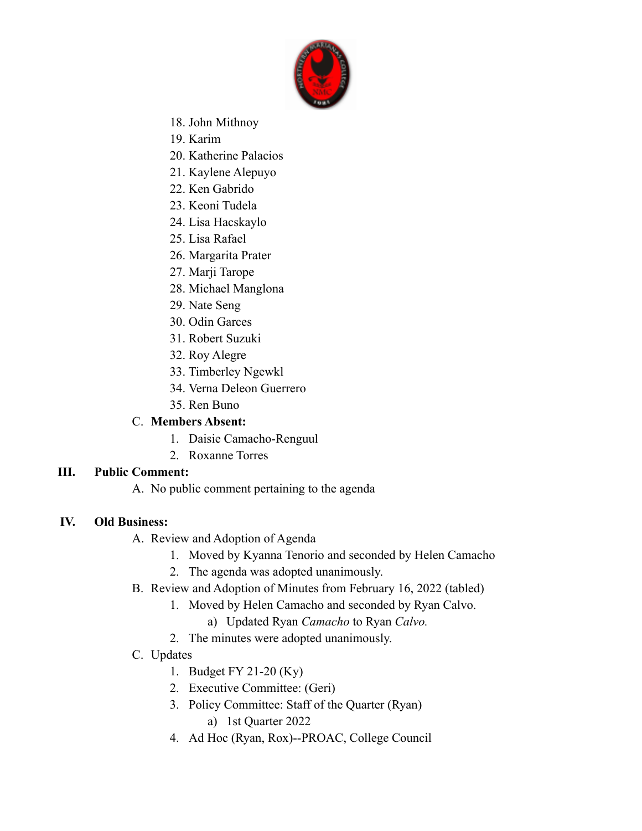

- 18. John Mithnoy
- 19. Karim
- 20. Katherine Palacios
- 21. Kaylene Alepuyo
- 22. Ken Gabrido
- 23. Keoni Tudela
- 24. Lisa Hacskaylo
- 25. Lisa Rafael
- 26. Margarita Prater
- 27. Marji Tarope
- 28. Michael Manglona
- 29. Nate Seng
- 30. Odin Garces
- 31. Robert Suzuki
- 32. Roy Alegre
- 33. Timberley Ngewkl
- 34. Verna Deleon Guerrero
- 35. Ren Buno

#### C. **Members Absent:**

- 1. Daisie Camacho-Renguul
- 2. Roxanne Torres

#### **III. Public Comment:**

A. No public comment pertaining to the agenda

#### **IV. Old Business:**

- A. Review and Adoption of Agenda
	- 1. Moved by Kyanna Tenorio and seconded by Helen Camacho
	- 2. The agenda was adopted unanimously.
- B. Review and Adoption of Minutes from February 16, 2022 (tabled)
	- 1. Moved by Helen Camacho and seconded by Ryan Calvo.
		- a) Updated Ryan *Camacho* to Ryan *Calvo.*
	- 2. The minutes were adopted unanimously.
- C. Updates
	- 1. Budget FY 21-20 (Ky)
	- 2. Executive Committee: (Geri)
	- 3. Policy Committee: Staff of the Quarter (Ryan) a) 1st Quarter 2022
	- 4. Ad Hoc (Ryan, Rox)--PROAC, College Council